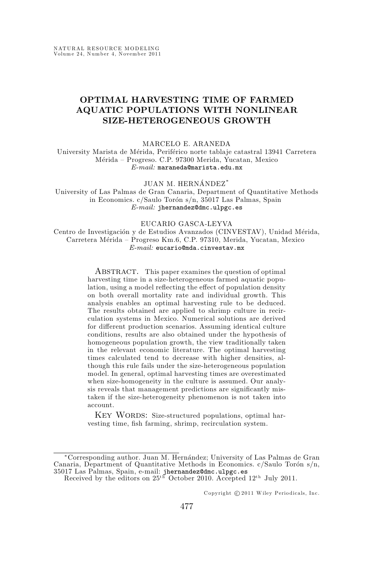# **OPTIMAL HARVESTING TIME OF FARMED AQUATIC POPULATIONS WITH NONLINEAR SIZE-HETEROGENEOUS GROWTH**

#### MARCELO E. ARANEDA

University Marista de Mérida, Periférico norte tablaje catastral 13941 Carretera Mérida – Progreso. C.P. 97300 Merida, Yucatan, Mexico  $E-mail:$  maraneda@marista.edu.mx

JUAN M. HERNÁNDEZ<sup>\*</sup>

University of Las Palmas de Gran Canaria, Department of Quantitative Methods in Economics.  $c/Saulo$  Torón s/n, 35017 Las Palmas, Spain E-mail: jhernandez@dmc.ulpgc.es

#### EUCARIO GASCA-LEYVA

Centro de Investigación y de Estudios Avanzados (CINVESTAV), Unidad Mérida, Carretera Mérida – Progreso Km.6, C.P. 97310, Merida, Yucatan, Mexico  $E-mail:$  eucario@mda.cinvestav.mx

> ABSTRACT. This paper examines the question of optimal harvesting time in a size-heterogeneous farmed aquatic population, using a model reflecting the effect of population density on both overall mortality rate and individual growth. This analysis enables an optimal harvesting rule to be deduced. The results obtained are applied to shrimp culture in recirculation systems in Mexico. Numerical solutions are derived for different production scenarios. Assuming identical culture conditions, results are also obtained under the hypothesis of homogeneous population growth, the view traditionally taken in the relevant economic literature. The optimal harvesting times calculated tend to decrease with higher densities, although this rule fails under the size-heterogeneous population model. In general, optimal harvesting times are overestimated when size-homogeneity in the culture is assumed. Our analysis reveals that management predictions are significantly mistaken if the size-heterogeneity phenomenon is not taken into account.

> KEY WORDS: Size-structured populations, optimal harvesting time, fish farming, shrimp, recirculation system.

Copyright  $\odot$  2011 Wiley Periodicals, Inc.

<sup>∗</sup>Corresponding author. Juan M. Hern´andez; University of Las Palmas de Gran Canaria, Department of Quantitative Methods in Economics.  $c/Saulo$  Toron s/n, 35017 Las Palmas, Spain, e-mail: jhernandez@dmc.ulpgc.es<br>Received by the editors on  $25^{th}$  October 2010. Accepted  $12^{th}$  July 2011.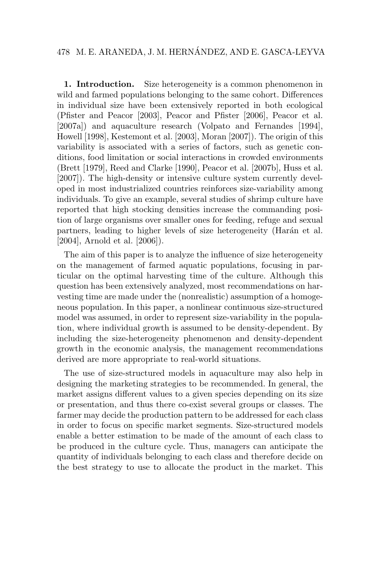# 478 M. E. ARANEDA, J. M. HERNANDEZ, AND E. GASCA-LEYVA ´

**1. Introduction.** Size heterogeneity is a common phenomenon in wild and farmed populations belonging to the same cohort. Differences in individual size have been extensively reported in both ecological (Pfister and Peacor [2003], Peacor and Pfister [2006], Peacor et al. [2007a]) and aquaculture research (Volpato and Fernandes [1994], Howell [1998], Kestemont et al. [2003], Moran [2007]). The origin of this variability is associated with a series of factors, such as genetic conditions, food limitation or social interactions in crowded environments (Brett [1979], Reed and Clarke [1990], Peacor et al. [2007b], Huss et al. [2007]). The high-density or intensive culture system currently developed in most industrialized countries reinforces size-variability among individuals. To give an example, several studies of shrimp culture have reported that high stocking densities increase the commanding position of large organisms over smaller ones for feeding, refuge and sexual partners, leading to higher levels of size heterogeneity (Harán et al. [2004], Arnold et al. [2006]).

The aim of this paper is to analyze the influence of size heterogeneity on the management of farmed aquatic populations, focusing in particular on the optimal harvesting time of the culture. Although this question has been extensively analyzed, most recommendations on harvesting time are made under the (nonrealistic) assumption of a homogeneous population. In this paper, a nonlinear continuous size-structured model was assumed, in order to represent size-variability in the population, where individual growth is assumed to be density-dependent. By including the size-heterogeneity phenomenon and density-dependent growth in the economic analysis, the management recommendations derived are more appropriate to real-world situations.

The use of size-structured models in aquaculture may also help in designing the marketing strategies to be recommended. In general, the market assigns different values to a given species depending on its size or presentation, and thus there co-exist several groups or classes. The farmer may decide the production pattern to be addressed for each class in order to focus on specific market segments. Size-structured models enable a better estimation to be made of the amount of each class to be produced in the culture cycle. Thus, managers can anticipate the quantity of individuals belonging to each class and therefore decide on the best strategy to use to allocate the product in the market. This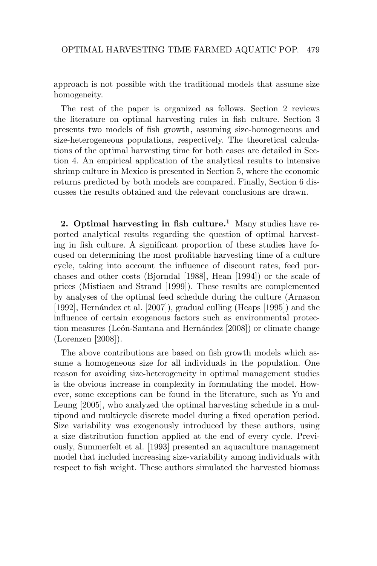approach is not possible with the traditional models that assume size homogeneity.

The rest of the paper is organized as follows. Section 2 reviews the literature on optimal harvesting rules in fish culture. Section 3 presents two models of fish growth, assuming size-homogeneous and size-heterogeneous populations, respectively. The theoretical calculations of the optimal harvesting time for both cases are detailed in Section 4. An empirical application of the analytical results to intensive shrimp culture in Mexico is presented in Section 5, where the economic returns predicted by both models are compared. Finally, Section 6 discusses the results obtained and the relevant conclusions are drawn.

**2. Optimal harvesting in fish culture.<sup>1</sup>** Many studies have reported analytical results regarding the question of optimal harvesting in fish culture. A significant proportion of these studies have focused on determining the most profitable harvesting time of a culture cycle, taking into account the influence of discount rates, feed purchases and other costs (Bjorndal [1988], Hean [1994]) or the scale of prices (Mistiaen and Strand [1999]). These results are complemented by analyses of the optimal feed schedule during the culture (Arnason [1992], Hernández et al.  $[2007]$ ), gradual culling (Heaps [1995]) and the influence of certain exogenous factors such as environmental protection measures (León-Santana and Hernández [2008]) or climate change (Lorenzen [2008]).

The above contributions are based on fish growth models which assume a homogeneous size for all individuals in the population. One reason for avoiding size-heterogeneity in optimal management studies is the obvious increase in complexity in formulating the model. However, some exceptions can be found in the literature, such as Yu and Leung [2005], who analyzed the optimal harvesting schedule in a multipond and multicycle discrete model during a fixed operation period. Size variability was exogenously introduced by these authors, using a size distribution function applied at the end of every cycle. Previously, Summerfelt et al. [1993] presented an aquaculture management model that included increasing size-variability among individuals with respect to fish weight. These authors simulated the harvested biomass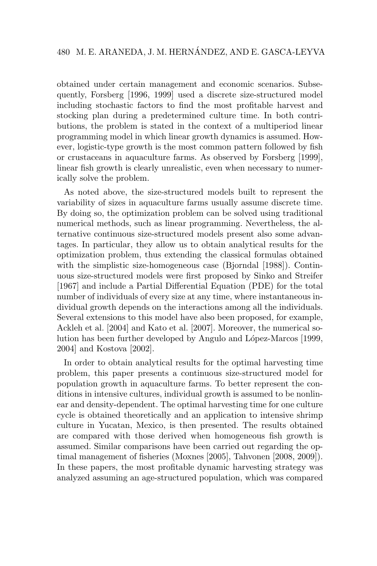obtained under certain management and economic scenarios. Subsequently, Forsberg [1996, 1999] used a discrete size-structured model including stochastic factors to find the most profitable harvest and stocking plan during a predetermined culture time. In both contributions, the problem is stated in the context of a multiperiod linear programming model in which linear growth dynamics is assumed. However, logistic-type growth is the most common pattern followed by fish or crustaceans in aquaculture farms. As observed by Forsberg [1999], linear fish growth is clearly unrealistic, even when necessary to numerically solve the problem.

As noted above, the size-structured models built to represent the variability of sizes in aquaculture farms usually assume discrete time. By doing so, the optimization problem can be solved using traditional numerical methods, such as linear programming. Nevertheless, the alternative continuous size-structured models present also some advantages. In particular, they allow us to obtain analytical results for the optimization problem, thus extending the classical formulas obtained with the simplistic size-homogeneous case (Bjorndal [1988]). Continuous size-structured models were first proposed by Sinko and Streifer [1967] and include a Partial Differential Equation (PDE) for the total number of individuals of every size at any time, where instantaneous individual growth depends on the interactions among all the individuals. Several extensions to this model have also been proposed, for example, Ackleh et al. [2004] and Kato et al. [2007]. Moreover, the numerical solution has been further developed by Angulo and López-Marcos [1999, 2004] and Kostova [2002].

In order to obtain analytical results for the optimal harvesting time problem, this paper presents a continuous size-structured model for population growth in aquaculture farms. To better represent the conditions in intensive cultures, individual growth is assumed to be nonlinear and density-dependent. The optimal harvesting time for one culture cycle is obtained theoretically and an application to intensive shrimp culture in Yucatan, Mexico, is then presented. The results obtained are compared with those derived when homogeneous fish growth is assumed. Similar comparisons have been carried out regarding the optimal management of fisheries (Moxnes [2005], Tahvonen [2008, 2009]). In these papers, the most profitable dynamic harvesting strategy was analyzed assuming an age-structured population, which was compared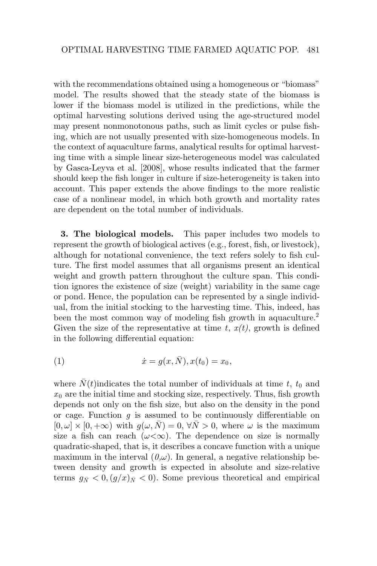with the recommendations obtained using a homogeneous or "biomass" model. The results showed that the steady state of the biomass is lower if the biomass model is utilized in the predictions, while the optimal harvesting solutions derived using the age-structured model may present nonmonotonous paths, such as limit cycles or pulse fishing, which are not usually presented with size-homogeneous models. In the context of aquaculture farms, analytical results for optimal harvesting time with a simple linear size-heterogeneous model was calculated by Gasca-Leyva et al. [2008], whose results indicated that the farmer should keep the fish longer in culture if size-heterogeneity is taken into account. This paper extends the above findings to the more realistic case of a nonlinear model, in which both growth and mortality rates are dependent on the total number of individuals.

**3. The biological models.** This paper includes two models to represent the growth of biological actives (e.g., forest, fish, or livestock), although for notational convenience, the text refers solely to fish culture. The first model assumes that all organisms present an identical weight and growth pattern throughout the culture span. This condition ignores the existence of size (weight) variability in the same cage or pond. Hence, the population can be represented by a single individual, from the initial stocking to the harvesting time. This, indeed, has been the most common way of modeling fish growth in aquaculture.<sup>2</sup> Given the size of the representative at time  $t, x(t)$ , growth is defined in the following differential equation:

(1) 
$$
\dot{x} = g(x, \bar{N}), x(t_0) = x_0,
$$

where  $N(t)$  indicates the total number of individuals at time *t*,  $t_0$  and  $x_0$  are the initial time and stocking size, respectively. Thus, fish growth depends not only on the fish size, but also on the density in the pond or cage. Function *g* is assumed to be continuously differentiable on  $[0, \omega] \times [0, +\infty)$  with  $q(\omega, N) = 0, \forall N > 0$ , where  $\omega$  is the maximum size a fish can reach  $(\omega < \infty)$ . The dependence on size is normally quadratic-shaped, that is, it describes a concave function with a unique maximum in the interval  $(0,\omega)$ . In general, a negative relationship between density and growth is expected in absolute and size-relative terms  $g_{\bar{N}} < 0$ ,  $(g/x)_{\bar{N}} < 0$ . Some previous theoretical and empirical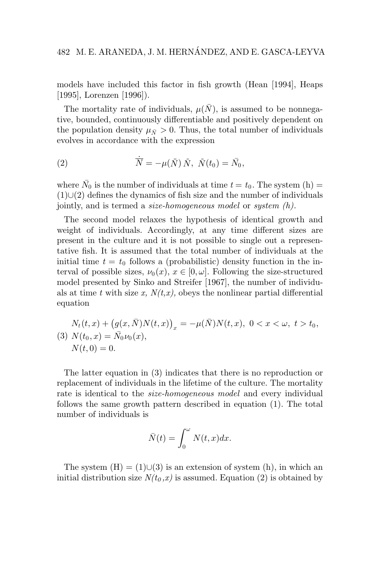models have included this factor in fish growth (Hean [1994], Heaps [1995], Lorenzen [1996]).

The mortality rate of individuals,  $\mu(\bar{N})$ , is assumed to be nonnegative, bounded, continuously differentiable and positively dependent on the population density  $\mu_{\bar{N}} > 0$ . Thus, the total number of individuals evolves in accordance with the expression

(2) 
$$
\dot{\overline{N}} = -\mu(\bar{N}) \bar{N}, \ \bar{N}(t_0) = \bar{N}_0,
$$

where  $\bar{N}_0$  is the number of individuals at time  $t = t_0$ . The system (h) =  $(1)$ ∪ $(2)$  defines the dynamics of fish size and the number of individuals jointly, and is termed a *size-homogeneous model* or *system (h)*.

The second model relaxes the hypothesis of identical growth and weight of individuals. Accordingly, at any time different sizes are present in the culture and it is not possible to single out a representative fish. It is assumed that the total number of individuals at the initial time  $t = t_0$  follows a (probabilistic) density function in the interval of possible sizes,  $\nu_0(x)$ ,  $x \in [0, \omega]$ . Following the size-structured model presented by Sinko and Streifer [1967], the number of individuals at time *t* with size *x*,  $N(t,x)$ , obeys the nonlinear partial differential equation

$$
N_t(t, x) + (g(x, \bar{N})N(t, x))_x = -\mu(\bar{N})N(t, x), \ 0 < x < \omega, \ t > t_0,
$$
\n
$$
(3) \ N(t_0, x) = \bar{N_0}\nu_0(x),
$$
\n
$$
N(t, 0) = 0.
$$

The latter equation in (3) indicates that there is no reproduction or replacement of individuals in the lifetime of the culture. The mortality rate is identical to the *size-homogeneous model* and every individual follows the same growth pattern described in equation (1). The total number of individuals is

$$
\bar{N}(t) = \int_0^{\omega} N(t, x) dx.
$$

The system  $(H) = (1) \cup (3)$  is an extension of system  $(h)$ , in which an initial distribution size  $N(t_0, x)$  is assumed. Equation (2) is obtained by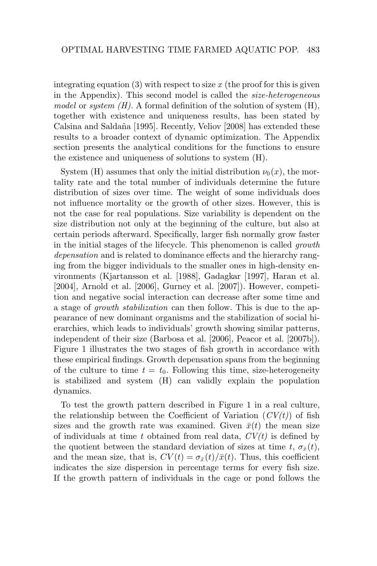integrating equation  $(3)$  with respect to size  $x$  (the proof for this is given in the Appendix). This second model is called the *size-heterogeneous model* or *system (H)*. A formal definition of the solution of system (H), together with existence and uniqueness results, has been stated by Calsina and Saldaña [1995]. Recently, Veliov [2008] has extended these results to a broader context of dynamic optimization. The Appendix section presents the analytical conditions for the functions to ensure the existence and uniqueness of solutions to system (H).

System (H) assumes that only the initial distribution  $\nu_0(x)$ , the mortality rate and the total number of individuals determine the future distribution of sizes over time. The weight of some individuals does not influence mortality or the growth of other sizes. However, this is not the case for real populations. Size variability is dependent on the size distribution not only at the beginning of the culture, but also at certain periods afterward. Specifically, larger fish normally grow faster in the initial stages of the lifecycle. This phenomenon is called *growth depensation* and is related to dominance effects and the hierarchy ranging from the bigger individuals to the smaller ones in high-density environments (Kjartansson et al. [1988], Gadagkar [1997], Haran et al. [2004], Arnold et al. [2006], Gurney et al. [2007]). However, competition and negative social interaction can decrease after some time and a stage of *growth stabilization* can then follow. This is due to the appearance of new dominant organisms and the stabilization of social hierarchies, which leads to individuals' growth showing similar patterns, independent of their size (Barbosa et al. [2006], Peacor et al. [2007b]). Figure 1 illustrates the two stages of fish growth in accordance with these empirical findings. Growth depensation spans from the beginning of the culture to time  $t = t_0$ . Following this time, size-heterogeneity is stabilized and system (H) can validly explain the population dynamics.

To test the growth pattern described in Figure 1 in a real culture, the relationship between the Coefficient of Variation  $(CV(t))$  of fish sizes and the growth rate was examined. Given  $\bar{x}(t)$  the mean size of individuals at time *t* obtained from real data, *CV(t)* is defined by the quotient between the standard deviation of sizes at time *t*,  $\sigma_{\bar{x}}(t)$ , and the mean size, that is,  $CV(t) = \sigma_{\bar{x}}(t)/\bar{x}(t)$ . Thus, this coefficient indicates the size dispersion in percentage terms for every fish size. If the growth pattern of individuals in the cage or pond follows the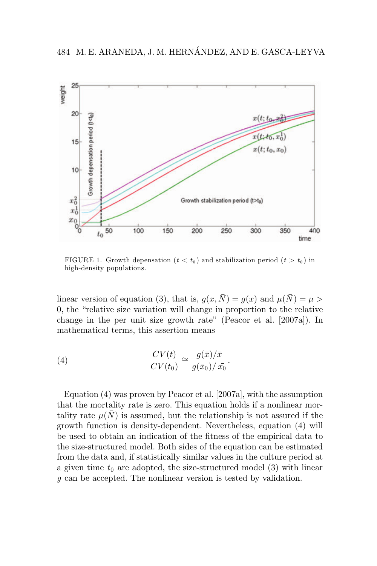

FIGURE 1. Growth depensation  $(t < t_0)$  and stabilization period  $(t > t_0)$  in high-density populations.

linear version of equation (3), that is,  $g(x, \bar{N}) = g(x)$  and  $\mu(\bar{N}) = \mu >$ 0, the "relative size variation will change in proportion to the relative change in the per unit size growth rate" (Peacor et al. [2007a]). In mathematical terms, this assertion means

(4) 
$$
\frac{CV(t)}{CV(t_0)} \cong \frac{g(\bar{x})/\bar{x}}{g(\bar{x}_0)/\bar{x}_0}.
$$

Equation (4) was proven by Peacor et al. [2007a], with the assumption that the mortality rate is zero. This equation holds if a nonlinear mortality rate  $\mu(\bar{N})$  is assumed, but the relationship is not assured if the growth function is density-dependent. Nevertheless, equation (4) will be used to obtain an indication of the fitness of the empirical data to the size-structured model. Both sides of the equation can be estimated from the data and, if statistically similar values in the culture period at a given time  $t_0$  are adopted, the size-structured model  $(3)$  with linear *g* can be accepted. The nonlinear version is tested by validation.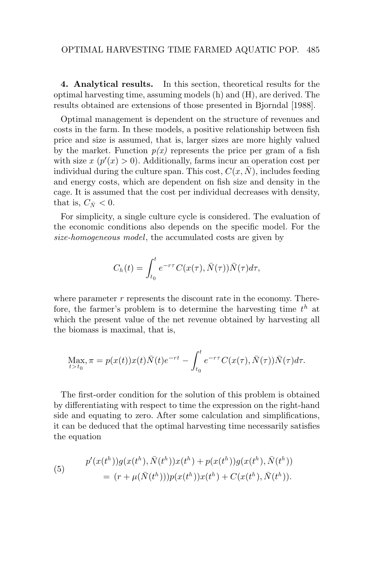**4. Analytical results.** In this section, theoretical results for the optimal harvesting time, assuming models (h) and (H), are derived. The results obtained are extensions of those presented in Bjorndal [1988].

Optimal management is dependent on the structure of revenues and costs in the farm. In these models, a positive relationship between fish price and size is assumed, that is, larger sizes are more highly valued by the market. Function  $p(x)$  represents the price per gram of a fish with size  $x \, (p'(x) > 0)$ . Additionally, farms incur an operation cost per individual during the culture span. This cost,  $C(x, N)$ , includes feeding and energy costs, which are dependent on fish size and density in the cage. It is assumed that the cost per individual decreases with density, that is,  $C_{\bar{N}} < 0$ .

For simplicity, a single culture cycle is considered. The evaluation of the economic conditions also depends on the specific model. For the *size-homogeneous model*, the accumulated costs are given by

$$
C_h(t) = \int_{t_0}^t e^{-r\tau} C(x(\tau), \bar{N}(\tau)) \bar{N}(\tau) d\tau,
$$

where parameter r represents the discount rate in the economy. Therefore, the farmer's problem is to determine the harvesting time *t*<sup>h</sup> at which the present value of the net revenue obtained by harvesting all the biomass is maximal, that is,

$$
\operatorname*{Max}_{t>t_0}\pi = p(x(t))x(t)\bar{N}(t)e^{-rt} - \int_{t_0}^t e^{-r\tau}C(x(\tau),\bar{N}(\tau))\bar{N}(\tau)d\tau.
$$

The first-order condition for the solution of this problem is obtained by differentiating with respect to time the expression on the right-hand side and equating to zero. After some calculation and simplifications, it can be deduced that the optimal harvesting time necessarily satisfies the equation

(5) 
$$
p'(x(t^h))g(x(t^h), \bar{N}(t^h))x(t^h) + p(x(t^h))g(x(t^h), \bar{N}(t^h))
$$

$$
= (r + \mu(\bar{N}(t^h)))p(x(t^h))x(t^h) + C(x(t^h), \bar{N}(t^h)).
$$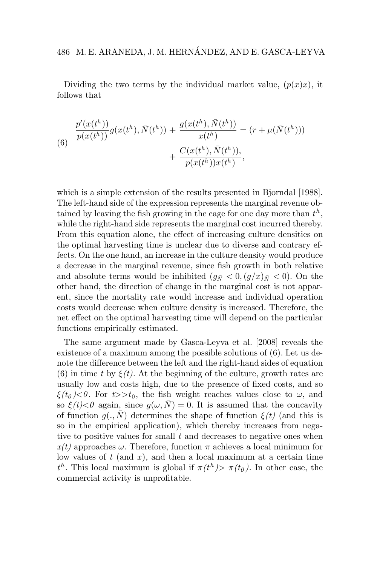# 486 M. E. ARANEDA, J. M. HERNANDEZ, AND E. GASCA-LEYVA ´

Dividing the two terms by the individual market value,  $(p(x)x)$ , it follows that

(6)  
\n
$$
\frac{p'(x(t^h))}{p(x(t^h))}g(x(t^h), \bar{N}(t^h)) + \frac{g(x(t^h), \bar{N}(t^h))}{x(t^h)} = (r + \mu(\bar{N}(t^h))) + \frac{C(x(t^h), \bar{N}(t^h))}{p(x(t^h))x(t^h)},
$$

which is a simple extension of the results presented in Bjorndal [1988]. The left-hand side of the expression represents the marginal revenue obtained by leaving the fish growing in the cage for one day more than *t*<sup>h</sup> , while the right-hand side represents the marginal cost incurred thereby. From this equation alone, the effect of increasing culture densities on the optimal harvesting time is unclear due to diverse and contrary effects. On the one hand, an increase in the culture density would produce a decrease in the marginal revenue, since fish growth in both relative and absolute terms would be inhibited  $(q_{\bar{N}} < 0, (q/x)_{\bar{N}} < 0)$ . On the other hand, the direction of change in the marginal cost is not apparent, since the mortality rate would increase and individual operation costs would decrease when culture density is increased. Therefore, the net effect on the optimal harvesting time will depend on the particular functions empirically estimated.

The same argument made by Gasca-Leyva et al. [2008] reveals the existence of a maximum among the possible solutions of (6). Let us denote the difference between the left and the right-hand sides of equation (6) in time *t* by  $\xi(t)$ . At the beginning of the culture, growth rates are usually low and costs high, due to the presence of fixed costs, and so  $\xi(t_0) < 0$ . For  $t >> t_0$ , the fish weight reaches values close to  $\omega$ , and so  $\xi(t) < 0$  again, since  $g(\omega, \overline{N}) = 0$ . It is assumed that the concavity of function  $g(., \bar{N})$  determines the shape of function  $\xi(t)$  (and this is so in the empirical application), which thereby increases from negative to positive values for small *t* and decreases to negative ones when  $x(t)$  approaches  $\omega$ . Therefore, function  $\pi$  achieves a local minimum for low values of *t* (and *x* )*,* and then a local maximum at a certain time *th*. This local maximum is global if  $\pi(t^h) > \pi(t_0)$ . In other case, the commercial activity is unprofitable.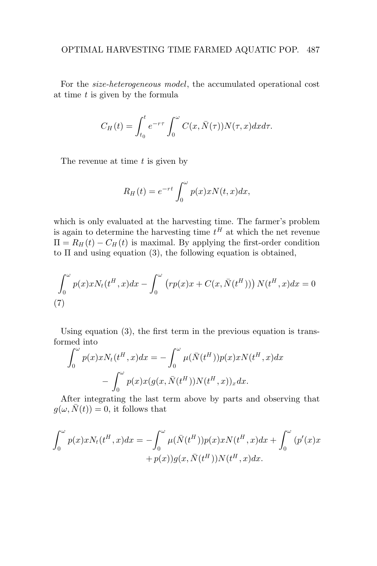For the *size-heterogeneous model*, the accumulated operational cost at time *t* is given by the formula

$$
C_H(t) = \int_{t_0}^t e^{-r\tau} \int_0^{\omega} C(x, \bar{N}(\tau)) N(\tau, x) dx d\tau.
$$

The revenue at time *t* is given by

$$
R_H(t) = e^{-rt} \int_0^{\omega} p(x)x N(t, x) dx,
$$

which is only evaluated at the harvesting time. The farmer's problem is again to determine the harvesting time  $t^H$  at which the net revenue  $\Pi = R_H(t) - C_H(t)$  is maximal. By applying the first-order condition to  $\Pi$  and using equation (3), the following equation is obtained,

$$
\int_0^{\omega} p(x)xN_t(t^H, x)dx - \int_0^{\omega} (rp(x)x + C(x, \overline{N}(t^H))) N(t^H, x)dx = 0
$$
\n(7)

Using equation (3), the first term in the previous equation is transformed into

$$
\int_0^{\omega} p(x)xN_t(t^H, x)dx = -\int_0^{\omega} \mu(\bar{N}(t^H))p(x)xN(t^H, x)dx
$$

$$
-\int_0^{\omega} p(x)x(g(x, \bar{N}(t^H))N(t^H, x))_x dx.
$$

After integrating the last term above by parts and observing that  $q(\omega, \bar{N}(t)) = 0$ , it follows that

$$
\int_0^\omega p(x)xN_t(t^H, x)dx = -\int_0^\omega \mu(\bar{N}(t^H))p(x)xN(t^H, x)dx + \int_0^\omega (p'(x)x + p(x))g(x, \bar{N}(t^H))N(t^H, x)dx.
$$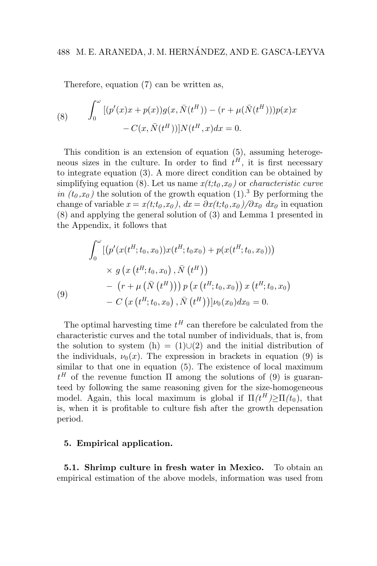Therefore, equation (7) can be written as,

(8) 
$$
\int_0^{\omega} [(p'(x)x + p(x))g(x, \bar{N}(t^H)) - (r + \mu(\bar{N}(t^H)))p(x)x - C(x, \bar{N}(t^H))]N(t^H, x)dx = 0.
$$

This condition is an extension of equation (5), assuming heterogeneous sizes in the culture. In order to find  $t^H$ , it is first necessary to integrate equation (3). A more direct condition can be obtained by simplifying equation (8). Let us name  $x(t; t_0, x_0)$  or *characteristic curve in*  $(t_0, x_0)$  the solution of the growth equation  $(1)$ .<sup>3</sup> By performing the change of variable  $x = x(t; t_0, x_0)$ ,  $dx = \frac{\partial x(t; t_0, x_0)}{\partial x_0} dx_0$  in equation (8) and applying the general solution of (3) and Lemma 1 presented in the Appendix, it follows that

$$
\int_0^{\omega} \left[ \left( p'(x(t^H; t_0, x_0)) x(t^H; t_0 x_0) + p(x(t^H; t_0, x_0)) \right) \times g(x(t^H; t_0, x_0), \bar{N}(t^H)) \right] \times g(x(t^H; t_0, x_0), \bar{N}(t^H))
$$
\n
$$
- (r + \mu (\bar{N}(t^H))) p(x(t^H; t_0, x_0)) x(t^H; t_0, x_0) - C (x(t^H; t_0, x_0), \bar{N}(t^H))] \nu_0(x_0) dx_0 = 0.
$$

The optimal harvesting time  $t^H$  can therefore be calculated from the characteristic curves and the total number of individuals, that is, from the solution to system (h) = (1)∪(2) and the initial distribution of the individuals,  $\nu_0(x)$ . The expression in brackets in equation (9) is similar to that one in equation  $(5)$ . The existence of local maximum  $t^H$  of the revenue function  $\Pi$  among the solutions of (9) is guaranteed by following the same reasoning given for the size-homogeneous model. Again, this local maximum is global if  $\Pi(t^H) > \Pi(t_0)$ , that is, when it is profitable to culture fish after the growth depensation period.

### **5. Empirical application.**

**5.1. Shrimp culture in fresh water in Mexico.** To obtain an empirical estimation of the above models, information was used from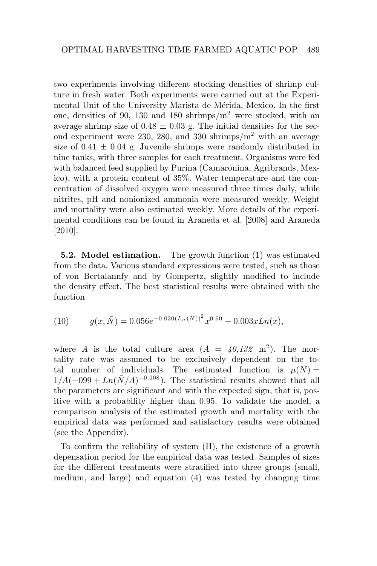two experiments involving different stocking densities of shrimp culture in fresh water. Both experiments were carried out at the Experimental Unit of the University Marista de Mérida, Mexico. In the first one, densities of 90, 130 and 180 shrimps/m2 were stocked, with an average shrimp size of  $0.48 \pm 0.03$  g. The initial densities for the second experiment were 230, 280, and 330 shrimps/ $m^2$  with an average size of  $0.41 \pm 0.04$  g. Juvenile shrimps were randomly distributed in nine tanks, with three samples for each treatment. Organisms were fed with balanced feed supplied by Purina (Camaronina, Agribrands, Mexico), with a protein content of 35%. Water temperature and the concentration of dissolved oxygen were measured three times daily, while nitrites, pH and nonionized ammonia were measured weekly. Weight and mortality were also estimated weekly. More details of the experimental conditions can be found in Araneda et al. [2008] and Araneda [2010].

**5.2. Model estimation.** The growth function (1) was estimated from the data. Various standard expressions were tested, such as those of von Bertalannfy and by Gompertz, slightly modified to include the density effect. The best statistical results were obtained with the function

(10) 
$$
g(x,\bar{N}) = 0.056e^{-0.030(L_n(\bar{N}))^2}x^{0.60} - 0.003xLn(x),
$$

where *A* is the total culture area  $(A = 40.132 \text{ m}^2)$ . The mortality rate was assumed to be exclusively dependent on the total number of individuals. The estimated function is  $\mu(\bar{N}) =$  $1/A(-0.99 + Ln(\bar{N}/A)^{-0.008})$ . The statistical results showed that all the parameters are significant and with the expected sign, that is, positive with a probability higher than 0.95. To validate the model, a comparison analysis of the estimated growth and mortality with the empirical data was performed and satisfactory results were obtained (see the Appendix).

To confirm the reliability of system (H), the existence of a growth depensation period for the empirical data was tested. Samples of sizes for the different treatments were stratified into three groups (small, medium, and large) and equation (4) was tested by changing time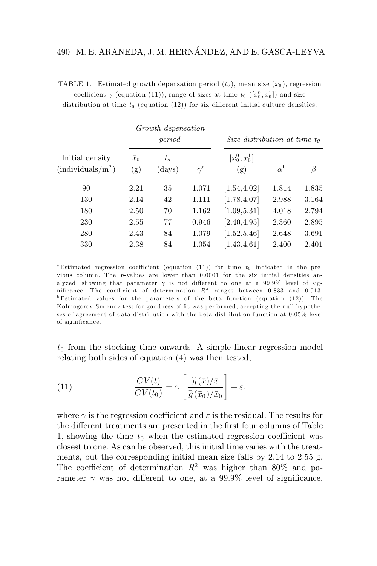|                                               | Growth depensation<br>period |                       | Size distribution at time $t_0$ |                         |                  |       |
|-----------------------------------------------|------------------------------|-----------------------|---------------------------------|-------------------------|------------------|-------|
| Initial density<br>$(\text{individuals}/m^2)$ | $\bar{x}_0$<br>(g)           | $t_o$<br>$\rm (days)$ | $\gamma^{\rm a}$                | $[x_0^0, x_0^1]$<br>(g) | $\alpha^{\rm b}$ | β     |
| 90                                            | 2.21                         | 35                    | 1.071                           | [1.54, 4.02]            | 1.814            | 1.835 |
| 130                                           | 2.14                         | 42                    | 1.111                           | [1.78, 4.07]            | 2.988            | 3.164 |
| 180                                           | 2.50                         | 70                    | 1.162                           | [1.09, 5.31]            | 4.018            | 2.794 |
| 230                                           | 2.55                         | 77                    | 0.946                           | [2.40, 4.95]            | 2.360            | 2.895 |
| 280                                           | 2.43                         | 84                    | 1.079                           | [1.52, 5.46]            | 2.648            | 3.691 |
| 330                                           | 2.38                         | 84                    | 1.054                           | [1.43, 4.61]            | 2.400            | 2.401 |

TABLE 1. Estimated growth depensation period  $(t_0)$ , mean size  $(\bar{x}_0)$ , regression coefficient  $\gamma$  (equation (11)), range of sizes at time  $t_0$  ( $[x_0^0, x_0^1]$ ) and size

distribution at time  $t_0$  (equation (12)) for six different initial culture densities.

<sup>a</sup> Estimated regression coefficient (equation (11)) for time  $t_0$  indicated in the previous column. The p-values are lower than 0.0001 for the six initial densities analyzed, showing that parameter  $\gamma$  is not different to one at a 99.9% level of sig-<br>nificance. The coefficient of determination  $R^2$  ranges between 0.833 and 0.913.  $b$  Estimated values for the parameters of the beta function (equation (12)). The Kolmogorov-Smirnov test for goodness of fit was performed, accepting the null hypotheses of agreement of data distribution with the beta distribution function at 0.05% level of significance.

 $t_0$  from the stocking time onwards. A simple linear regression model relating both sides of equation (4) was then tested,

(11) 
$$
\frac{CV(t)}{CV(t_0)} = \gamma \left[ \frac{\hat{g}(\bar{x})/\bar{x}}{\hat{g}(\bar{x}_0)/\bar{x}_0} \right] + \varepsilon,
$$

where  $\gamma$  is the regression coefficient and  $\varepsilon$  is the residual. The results for the different treatments are presented in the first four columns of Table 1, showing the time  $t_0$  when the estimated regression coefficient was closest to one. As can be observed, this initial time varies with the treatments, but the corresponding initial mean size falls by 2.14 to 2.55 g. The coefficient of determination  $R^2$  was higher than 80% and parameter  $\gamma$  was not different to one, at a 99.9% level of significance.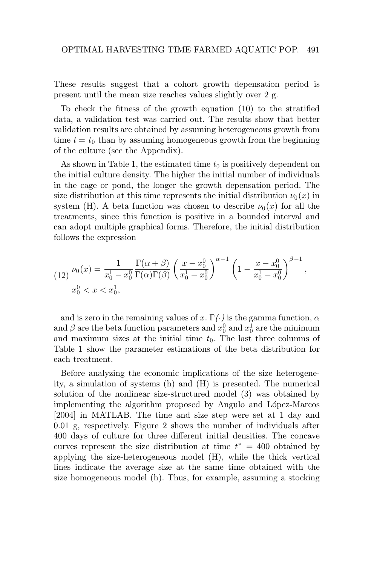These results suggest that a cohort growth depensation period is present until the mean size reaches values slightly over 2 g.

To check the fitness of the growth equation (10) to the stratified data, a validation test was carried out. The results show that better validation results are obtained by assuming heterogeneous growth from time  $t = t_0$  than by assuming homogeneous growth from the beginning of the culture (see the Appendix).

As shown in Table 1, the estimated time  $t_0$  is positively dependent on the initial culture density. The higher the initial number of individuals in the cage or pond, the longer the growth depensation period. The size distribution at this time represents the initial distribution  $\nu_0(x)$  in system (H). A beta function was chosen to describe  $\nu_0(x)$  for all the treatments, since this function is positive in a bounded interval and can adopt multiple graphical forms. Therefore, the initial distribution follows the expression

$$
(12)\ \frac{\nu_0(x)}{x_0^1 - x_0^0} = \frac{1}{x_0^1 - x_0^0} \frac{\Gamma(\alpha + \beta)}{\Gamma(\alpha)\Gamma(\beta)} \left(\frac{x - x_0^0}{x_0^1 - x_0^0}\right)^{\alpha - 1} \left(1 - \frac{x - x_0^0}{x_0^1 - x_0^0}\right)^{\beta - 1},
$$
  

$$
x_0^0 < x < x_0^1,
$$

and is zero in the remaining values of  $x \cdot \Gamma(\cdot)$  is the gamma function,  $\alpha$ and  $\beta$  are the beta function parameters and  $x_0^0$  and  $x_0^1$  are the minimum and maximum sizes at the initial time  $t_0$ . The last three columns of Table 1 show the parameter estimations of the beta distribution for each treatment.

Before analyzing the economic implications of the size heterogeneity, a simulation of systems (h) and (H) is presented. The numerical solution of the nonlinear size-structured model (3) was obtained by implementing the algorithm proposed by Angulo and López-Marcos [2004] in MATLAB. The time and size step were set at 1 day and 0.01 g, respectively. Figure 2 shows the number of individuals after 400 days of culture for three different initial densities. The concave curves represent the size distribution at time  $t^* = 400$  obtained by applying the size-heterogeneous model (H), while the thick vertical lines indicate the average size at the same time obtained with the size homogeneous model (h). Thus, for example, assuming a stocking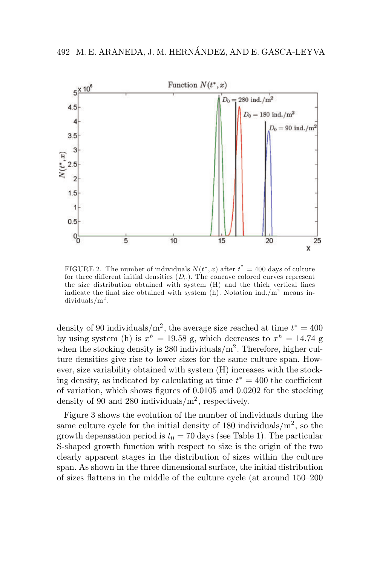

FIGURE 2. The number of individuals  $N(t^*,x)$  after  $t^* = 400$  days of culture for three different initial densities  $(D_0)$ . The concave colored curves represent the size distribution obtained with system (H) and the thick vertical lines indicate the final size obtained with system  $(h)$ . Notation ind./m<sup>2</sup> means individuals/ $m^2$ .

density of 90 individuals/m<sup>2</sup>, the average size reached at time  $t^* = 400$ by using system (h) is  $x^h = 19.58$  g, which decreases to  $x^h = 14.74$  g when the stocking density is 280 individuals/ $m^2$ . Therefore, higher culture densities give rise to lower sizes for the same culture span. However, size variability obtained with system (H) increases with the stocking density, as indicated by calculating at time *t*<sup>∗</sup> = 400 the coefficient of variation, which shows figures of 0.0105 and 0.0202 for the stocking density of 90 and 280 individuals/ $m^2$ , respectively.

Figure 3 shows the evolution of the number of individuals during the same culture cycle for the initial density of 180 individuals/ $m^2$ , so the growth depensation period is  $t_0 = 70$  days (see Table 1). The particular S-shaped growth function with respect to size is the origin of the two clearly apparent stages in the distribution of sizes within the culture span. As shown in the three dimensional surface, the initial distribution of sizes flattens in the middle of the culture cycle (at around 150–200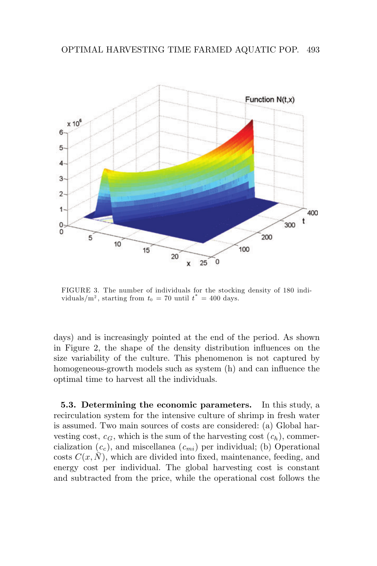

FIGURE 3. The number of individuals for the stocking density of 180 individuals/m<sup>2</sup>, starting from  $t_0 = 70$  until  $t^* = 400$  days.

days) and is increasingly pointed at the end of the period. As shown in Figure 2, the shape of the density distribution influences on the size variability of the culture. This phenomenon is not captured by homogeneous-growth models such as system (h) and can influence the optimal time to harvest all the individuals.

**5.3. Determining the economic parameters.** In this study, a recirculation system for the intensive culture of shrimp in fresh water is assumed. Two main sources of costs are considered: (a) Global harvesting cost,  $c_G$ , which is the sum of the harvesting cost  $(c_h)$ , commercialization  $(c_c)$ , and miscellanea  $(c_{mi})$  per individual; (b) Operational costs  $C(x, \bar{N})$ , which are divided into fixed, maintenance, feeding, and energy cost per individual. The global harvesting cost is constant and subtracted from the price, while the operational cost follows the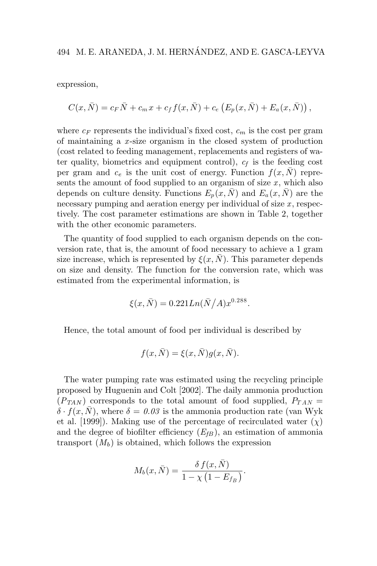expression,

$$
C(x,\bar{N}) = c_F \bar{N} + c_m x + c_f f(x,\bar{N}) + c_e (E_p(x,\bar{N}) + E_a(x,\bar{N})),
$$

where  $c_F$  represents the individual's fixed cost,  $c_m$  is the cost per gram of maintaining a *x* -size organism in the closed system of production (cost related to feeding management, replacements and registers of water quality, biometrics and equipment control),  $c_f$  is the feeding cost per gram and  $c_e$  is the unit cost of energy. Function  $f(x, \overline{N})$  represents the amount of food supplied to an organism of size  $x$ , which also depends on culture density. Functions  $E_p(x, \bar{N})$  and  $E_a(x, \bar{N})$  are the necessary pumping and aeration energy per individual of size x, respectively. The cost parameter estimations are shown in Table 2, together with the other economic parameters.

The quantity of food supplied to each organism depends on the conversion rate, that is, the amount of food necessary to achieve a 1 gram size increase, which is represented by  $\xi(x, \bar{N})$ . This parameter depends on size and density. The function for the conversion rate, which was estimated from the experimental information, is

$$
\xi(x,\bar{N}) = 0.221Ln(\bar{N}/A)x^{0.288}.
$$

Hence, the total amount of food per individual is described by

$$
f(x,\bar{N}) = \xi(x,\bar{N})g(x,\bar{N}).
$$

The water pumping rate was estimated using the recycling principle proposed by Huguenin and Colt [2002]. The daily ammonia production  $(P_{TAN})$  corresponds to the total amount of food supplied,  $P_{TAN}$  =  $\delta \cdot f(x, N)$ , where  $\delta = 0.03$  is the ammonia production rate (van Wyk et al. [1999]). Making use of the percentage of recirculated water  $(\chi)$ and the degree of biofilter efficiency  $(E_{fB})$ , an estimation of ammonia transport  $(M_b)$  is obtained, which follows the expression

$$
M_b(x,\bar{N}) = \frac{\delta f(x,\bar{N})}{1 - \chi\left(1 - E_{f_B}\right)}.
$$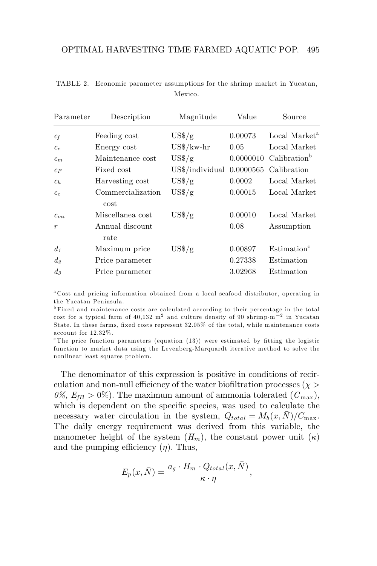| Parameter                                             | Description                                                 | Magnitude                   | Value                         | Source                                              |
|-------------------------------------------------------|-------------------------------------------------------------|-----------------------------|-------------------------------|-----------------------------------------------------|
| $c_f$                                                 | Feeding cost                                                | $\frac{US\%}{g}$            | 0.00073                       | Local Market <sup>a</sup>                           |
| $c_e$                                                 | Energy cost                                                 | $\frac{US\%}{kw\text{-}hr}$ | 0.05                          | Local Market                                        |
| $c_m$                                                 | Maintenance cost                                            | $\frac{US\%}{g}$            | 0.0000010                     | Calibration <sup>b</sup>                            |
| $c_F$                                                 | Fixed cost                                                  | US\$/individual             | 0.0000565                     | Calibration                                         |
| $c_h$                                                 | Harvesting cost                                             | $\frac{US\%}{g}$            | 0.0002                        | Local Market                                        |
| c <sub>c</sub>                                        | Commercialization                                           | $\frac{US\$ /g}{g}          | 0.00015                       | Local Market                                        |
| $c_{mi}$<br>$\boldsymbol{r}$                          | cost<br>Miscellanea cost<br>Annual discount                 | $\frac{US\%}{g}$            | 0.00010<br>0.08               | Local Market<br>Assumption                          |
| $d_1$<br>$d_{\scriptscriptstyle\odot}$<br>$d_{\beta}$ | rate<br>Maximum price<br>Price parameter<br>Price parameter | $\mathrm{US}\$/\mathrm{g}$  | 0.00897<br>0.27338<br>3.02968 | Estimation <sup>c</sup><br>Estimation<br>Estimation |

TABLE 2. Economic parameter assumptions for the shrimp market in Yucatan, Mexico.

<sup>a</sup> Cost and pricing information obtained from a local seafood distributor, operating in the Yucatan Peninsula.

<sup>b</sup> Fixed and maintenance costs are calculated according to their percentage in the total cost for a typical farm of 40,132 m<sup>2</sup> and culture density of 90 shrimp·m−<sup>2</sup> in Yucatan State. In these farms, fixed costs represent 32.05% of the total, while maintenance costs account for 12.32%.

 $c$ The price function parameters (equation (13)) were estimated by fitting the logistic function to market data using the Levenberg-Marquardt iterative method to solve the nonlinear least squares problem.

The denominator of this expression is positive in conditions of recirculation and non-null efficiency of the water biofiltration processes ( $\chi$ )  $0\%$ ,  $E_{fB} > 0\%$ ). The maximum amount of ammonia tolerated  $(C_{\text{max}})$ , which is dependent on the specific species, was used to calculate the necessary water circulation in the system,  $Q_{total} = M_b(x, N)/C_{\text{max}}$ . The daily energy requirement was derived from this variable, the manometer height of the system  $(H_m)$ , the constant power unit  $(\kappa)$ and the pumping efficiency  $(\eta)$ . Thus,

$$
E_p(x,\bar{N}) = \frac{a_g \cdot H_m \cdot Q_{total}(x,\bar{N})}{\kappa \cdot \eta},
$$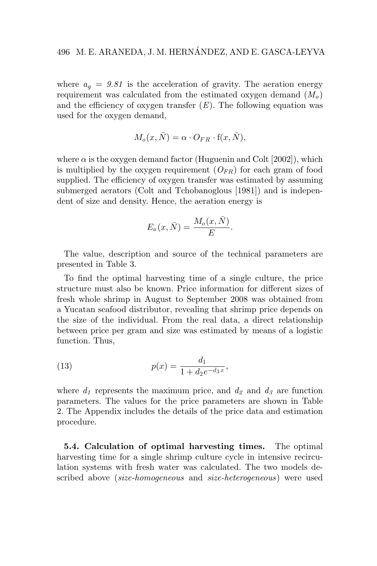where  $a_q = 9.81$  is the acceleration of gravity. The aeration energy requirement was calculated from the estimated oxygen demand  $(M<sub>o</sub>)$ and the efficiency of oxygen transfer  $(E)$ . The following equation was used for the oxygen demand,

$$
M_o(x,\bar{N}) = \alpha \cdot O_{FR} \cdot f(x,\bar{N}),
$$

where  $\alpha$  is the oxygen demand factor (Huguenin and Colt [2002]), which is multiplied by the oxygen requirement  $(O_{FR})$  for each gram of food supplied. The efficiency of oxygen transfer was estimated by assuming submerged aerators (Colt and Tchobanoglous [1981]) and is independent of size and density. Hence, the aeration energy is

$$
E_a(x,\bar{N}) = \frac{M_o(x,\bar{N})}{E}.
$$

The value, description and source of the technical parameters are presented in Table 3.

To find the optimal harvesting time of a single culture, the price structure must also be known. Price information for different sizes of fresh whole shrimp in August to September 2008 was obtained from a Yucatan seafood distributor, revealing that shrimp price depends on the size of the individual. From the real data, a direct relationship between price per gram and size was estimated by means of a logistic function. Thus,

(13) 
$$
p(x) = \frac{d_1}{1 + d_2 e^{-d_3 x}},
$$

where  $d_1$  represents the maximum price, and  $d_2$  and  $d_3$  are function parameters. The values for the price parameters are shown in Table 2. The Appendix includes the details of the price data and estimation procedure.

**5.4. Calculation of optimal harvesting times.** The optimal harvesting time for a single shrimp culture cycle in intensive recirculation systems with fresh water was calculated. The two models described above (*size-homogeneous* and *size-heterogeneous*) were used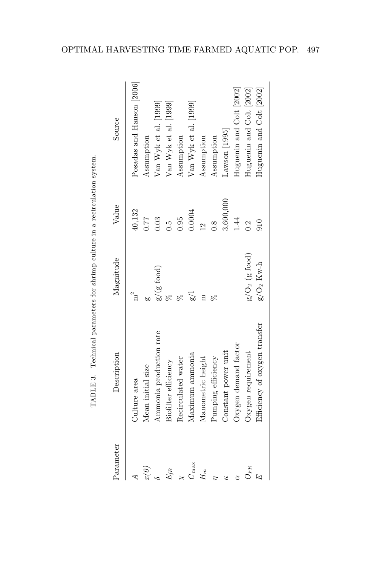| Parameter        | Description                   | Magnitude            | Value          | Source                    |
|------------------|-------------------------------|----------------------|----------------|---------------------------|
|                  | Culture area                  | $m^2$                | 40,132         | Posadas and Hanson [2006] |
| $\widehat{x}(0)$ | Mean initial size             |                      | 177            | Assumption                |
|                  | Ammonia production rate       | $g/(g \text{ food})$ | 0.03           | Var Wyk et al. [1999]     |
| $E_{fB}$         | Biofilter efficiency          |                      | c.o            | $Van$ Wyk et al. $[1999]$ |
|                  | Recirculated water            |                      | 0.95           | Assumption                |
| $C_{\max}$       | Maximum ammonia               |                      | 0.0004         | $Van$ Wyk et al. $[1999]$ |
| $H_m$            | Manometric height             | Ξ                    | $\frac{12}{2}$ | Assumption                |
|                  | Pumping efficiency            | R                    | $\frac{8}{1}$  | Assumption                |
| 52               | Constant power unit           |                      | 3,600,000      | $\text{Lawson}$ [1995]    |
|                  | Oxygen demand factor          |                      | 14<br>1        | Huguenin and Colt [2002]  |
| $U_{FR}$         | Oxygen requirement            | $g/O_2$ (g food)     | $\ddot{0}$     | Huguenin and Colt [2002]  |
|                  | Efficiency of oxygen transfer | $g/O_2$ Kw-h         | 010            | Huguenin and Colt [2002]  |
|                  |                               |                      |                |                           |

TABLE 3. Technical parameters for shrimp culture in a recirculation system. TABLE 3. Technical parameters for shrimp culture in a recirculation system.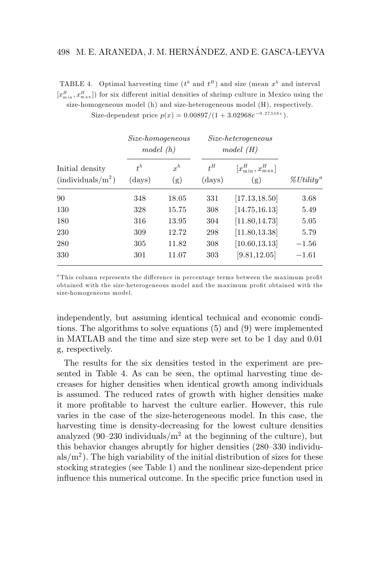# 498 M. E. ARANEDA, J. M. HERNANDEZ, AND E. GASCA-LEYVA ´

TABLE 4. Optimal harvesting time  $(t^h$  and  $t^H$ ) and size (mean  $x^h$  and interval  $[x_{\min}^H, x_{\max}^H]$  for six different initial densities of shrimp culture in Mexico using the size-homogeneous model (h) and size-heterogeneous model (H), respectively.

Size-dependent price  $p(x)=0.00897/(1+3.02968e^{-0.27338x})$ .

|                                               | Size-homogeneous<br>model(h) |              | $Size-heterogeneous$<br>model(H) |                                   |                                    |
|-----------------------------------------------|------------------------------|--------------|----------------------------------|-----------------------------------|------------------------------------|
| Initial density<br>$(\text{individuals}/m^2)$ | $t^h$<br>$\rm (days)$        | $x^h$<br>(g) | $t^H$<br>$\rm (days)$            | $[x_{\min}^H, x_{\max}^H]$<br>(g) | $\mathscr{U}$ Utility <sup>a</sup> |
| 90                                            | 348                          | 18.05        | 331                              | [17.13, 18.50]                    | 3.68                               |
| 130                                           | 328                          | 15.75        | 308                              | [14.75, 16.13]                    | 5.49                               |
| 180                                           | 316                          | 13.95        | 304                              | [11.80, 14.73]                    | 5.05                               |
| 230                                           | 309                          | 12.72        | 298                              | [11.80, 13.38]                    | 5.79                               |
| 280                                           | 305                          | 11.82        | 308                              | [10.60, 13.13]                    | $-1.56$                            |
| 330                                           | 301                          | 11.07        | 303                              | [9.81, 12.05]                     | $-1.61$                            |

<sup>a</sup> This column represents the difference in percentage terms between the maximum profit obtained with the size-heterogeneous model and the maximum profit obtained with the size-homogeneous model.

independently, but assuming identical technical and economic conditions. The algorithms to solve equations (5) and (9) were implemented in MATLAB and the time and size step were set to be 1 day and 0.01 g, respectively.

The results for the six densities tested in the experiment are presented in Table 4. As can be seen, the optimal harvesting time decreases for higher densities when identical growth among individuals is assumed. The reduced rates of growth with higher densities make it more profitable to harvest the culture earlier. However, this rule varies in the case of the size-heterogeneous model. In this case, the harvesting time is density-decreasing for the lowest culture densities analyzed (90–230 individuals/ $m<sup>2</sup>$  at the beginning of the culture), but this behavior changes abruptly for higher densities (280–330 individu $als/m<sup>2</sup>$ ). The high variability of the initial distribution of sizes for these stocking strategies (see Table 1) and the nonlinear size-dependent price influence this numerical outcome. In the specific price function used in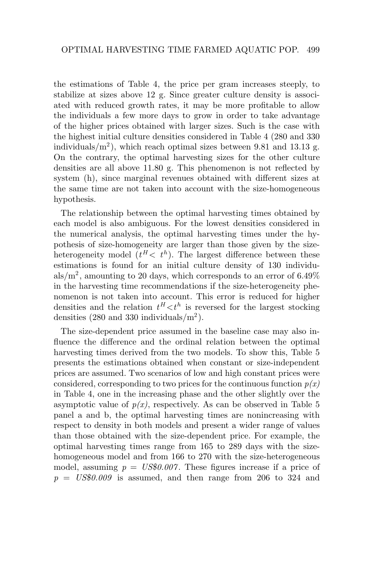the estimations of Table 4, the price per gram increases steeply, to stabilize at sizes above 12 g. Since greater culture density is associated with reduced growth rates, it may be more profitable to allow the individuals a few more days to grow in order to take advantage of the higher prices obtained with larger sizes. Such is the case with the highest initial culture densities considered in Table 4 (280 and 330 individuals/ $m<sup>2</sup>$ ), which reach optimal sizes between 9.81 and 13.13 g. On the contrary, the optimal harvesting sizes for the other culture densities are all above 11.80 g. This phenomenon is not reflected by system (h), since marginal revenues obtained with different sizes at the same time are not taken into account with the size-homogeneous hypothesis.

The relationship between the optimal harvesting times obtained by each model is also ambiguous. For the lowest densities considered in the numerical analysis, the optimal harvesting times under the hypothesis of size-homogeneity are larger than those given by the sizeheterogeneity model  $(t^H < t^h)$ . The largest difference between these estimations is found for an initial culture density of 130 individuals/ $m^2$ , amounting to 20 days, which corresponds to an error of 6.49% in the harvesting time recommendations if the size-heterogeneity phenomenon is not taken into account. This error is reduced for higher densities and the relation  $t^H < t^h$  is reversed for the largest stocking densities  $(280 \text{ and } 330 \text{ individuals/m}^2)$ .

The size-dependent price assumed in the baseline case may also influence the difference and the ordinal relation between the optimal harvesting times derived from the two models. To show this, Table 5 presents the estimations obtained when constant or size-independent prices are assumed. Two scenarios of low and high constant prices were considered, corresponding to two prices for the continuous function  $p(x)$ in Table 4, one in the increasing phase and the other slightly over the asymptotic value of  $p(x)$ , respectively. As can be observed in Table 5 panel a and b, the optimal harvesting times are nonincreasing with respect to density in both models and present a wider range of values than those obtained with the size-dependent price. For example, the optimal harvesting times range from 165 to 289 days with the sizehomogeneous model and from 166 to 270 with the size-heterogeneous model, assuming  $p = US$0.007$ . These figures increase if a price of  $p = US$0.009$  is assumed, and then range from 206 to 324 and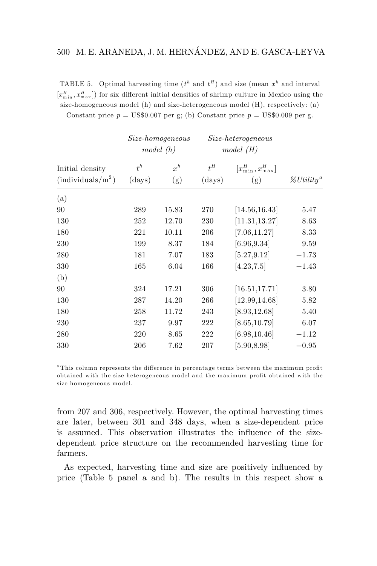# 500 M. E. ARANEDA, J. M. HERNÁNDEZ, AND E. GASCA-LEYVA

TABLE 5. Optimal harvesting time  $(t^h$  and  $t^H$ ) and size (mean  $x^h$  and interval  $[x_{\min}^H, x_{\max}^H]$  for six different initial densities of shrimp culture in Mexico using the size-homogeneous model (h) and size-heterogeneous model (H), respectively: (a)

Constant price  $p = US$0.007$  per g; (b) Constant price  $p = US$0.009$  per g.

|                                               |                       | Size-homogeneous<br>model(h) |                       | <i>Size-heterogeneous</i><br>model(H) |                                    |  |
|-----------------------------------------------|-----------------------|------------------------------|-----------------------|---------------------------------------|------------------------------------|--|
| Initial density<br>$(\text{individuals}/m^2)$ | $t^h$<br>$\rm (days)$ | $x^h$<br>(g)                 | $t^H$<br>$\rm (days)$ | $[x_{\min}^H, x_{\max}^H]$<br>(g)     | $\mathscr{U}$ Utility <sup>a</sup> |  |
| (a)                                           |                       |                              |                       |                                       |                                    |  |
| 90                                            | 289                   | 15.83                        | 270                   | [14.56, 16.43]                        | 5.47                               |  |
| 130                                           | 252                   | 12.70                        | 230                   | [11.31, 13.27]                        | 8.63                               |  |
| 180                                           | 221                   | 10.11                        | 206                   | [7.06, 11.27]                         | 8.33                               |  |
| 230                                           | 199                   | 8.37                         | 184                   | [6.96, 9.34]                          | 9.59                               |  |
| 280                                           | 181                   | 7.07                         | 183                   | [5.27, 9.12]                          | $-1.73$                            |  |
| 330                                           | 165                   | 6.04                         | 166                   | [4.23, 7.5]                           | $-1.43$                            |  |
| (b)                                           |                       |                              |                       |                                       |                                    |  |
| 90                                            | 324                   | 17.21                        | 306                   | [16.51, 17.71]                        | 3.80                               |  |
| 130                                           | 287                   | 14.20                        | 266                   | [12.99, 14.68]                        | 5.82                               |  |
| 180                                           | 258                   | 11.72                        | 243                   | [8.93, 12.68]                         | 5.40                               |  |
| 230                                           | 237                   | 9.97                         | 222                   | [8.65, 10.79]                         | 6.07                               |  |
| 280                                           | 220                   | 8.65                         | 222                   | [6.98, 10.46]                         | $-1.12$                            |  |
| 330                                           | 206                   | 7.62                         | 207                   | [5.90, 8.98]                          | $-0.95$                            |  |

<sup>a</sup> This column represents the difference in percentage terms between the maximum profit obtained with the size-heterogeneous model and the maximum profit obtained with the size-homogeneous model.

from 207 and 306, respectively. However, the optimal harvesting times are later, between 301 and 348 days, when a size-dependent price is assumed. This observation illustrates the influence of the sizedependent price structure on the recommended harvesting time for farmers.

As expected, harvesting time and size are positively influenced by price (Table 5 panel a and b). The results in this respect show a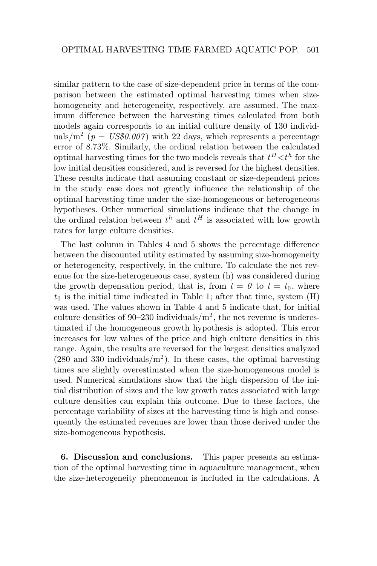similar pattern to the case of size-dependent price in terms of the comparison between the estimated optimal harvesting times when sizehomogeneity and heterogeneity, respectively, are assumed. The maximum difference between the harvesting times calculated from both models again corresponds to an initial culture density of 130 individuals/ $m^2$  ( $p = US$0.007$ ) with 22 days, which represents a percentage error of 8.73%. Similarly, the ordinal relation between the calculated optimal harvesting times for the two models reveals that  $t^H \lt t^h$  for the low initial densities considered, and is reversed for the highest densities. These results indicate that assuming constant or size-dependent prices in the study case does not greatly influence the relationship of the optimal harvesting time under the size-homogeneous or heterogeneous hypotheses. Other numerical simulations indicate that the change in the ordinal relation between  $t^h$  and  $t^H$  is associated with low growth rates for large culture densities.

The last column in Tables 4 and 5 shows the percentage difference between the discounted utility estimated by assuming size-homogeneity or heterogeneity, respectively, in the culture. To calculate the net revenue for the size-heterogeneous case, system (h) was considered during the growth depensation period, that is, from  $t = 0$  to  $t = t_0$ , where  $t_0$  is the initial time indicated in Table 1; after that time, system  $(H)$ was used. The values shown in Table 4 and 5 indicate that, for initial culture densities of 90–230 individuals/ $m^2$ , the net revenue is underestimated if the homogeneous growth hypothesis is adopted. This error increases for low values of the price and high culture densities in this range. Again, the results are reversed for the largest densities analyzed  $(280 \text{ and } 330 \text{ individuals/m}^2)$ . In these cases, the optimal harvesting times are slightly overestimated when the size-homogeneous model is used. Numerical simulations show that the high dispersion of the initial distribution of sizes and the low growth rates associated with large culture densities can explain this outcome. Due to these factors, the percentage variability of sizes at the harvesting time is high and consequently the estimated revenues are lower than those derived under the size-homogeneous hypothesis.

**6. Discussion and conclusions.** This paper presents an estimation of the optimal harvesting time in aquaculture management, when the size-heterogeneity phenomenon is included in the calculations. A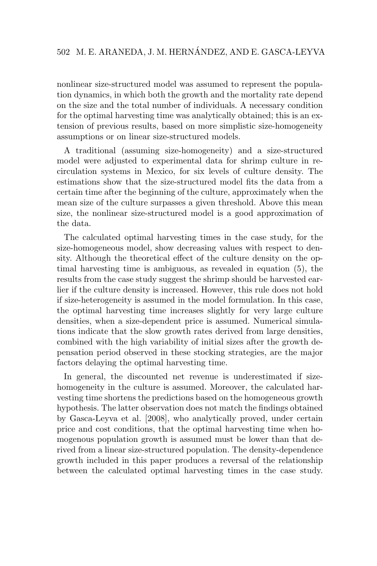nonlinear size-structured model was assumed to represent the population dynamics, in which both the growth and the mortality rate depend on the size and the total number of individuals. A necessary condition for the optimal harvesting time was analytically obtained; this is an extension of previous results, based on more simplistic size-homogeneity assumptions or on linear size-structured models.

A traditional (assuming size-homogeneity) and a size-structured model were adjusted to experimental data for shrimp culture in recirculation systems in Mexico, for six levels of culture density. The estimations show that the size-structured model fits the data from a certain time after the beginning of the culture, approximately when the mean size of the culture surpasses a given threshold. Above this mean size, the nonlinear size-structured model is a good approximation of the data.

The calculated optimal harvesting times in the case study, for the size-homogeneous model, show decreasing values with respect to density. Although the theoretical effect of the culture density on the optimal harvesting time is ambiguous, as revealed in equation (5), the results from the case study suggest the shrimp should be harvested earlier if the culture density is increased. However, this rule does not hold if size-heterogeneity is assumed in the model formulation. In this case, the optimal harvesting time increases slightly for very large culture densities, when a size-dependent price is assumed. Numerical simulations indicate that the slow growth rates derived from large densities, combined with the high variability of initial sizes after the growth depensation period observed in these stocking strategies, are the major factors delaying the optimal harvesting time.

In general, the discounted net revenue is underestimated if sizehomogeneity in the culture is assumed. Moreover, the calculated harvesting time shortens the predictions based on the homogeneous growth hypothesis. The latter observation does not match the findings obtained by Gasca-Leyva et al. [2008], who analytically proved, under certain price and cost conditions, that the optimal harvesting time when homogenous population growth is assumed must be lower than that derived from a linear size-structured population. The density-dependence growth included in this paper produces a reversal of the relationship between the calculated optimal harvesting times in the case study.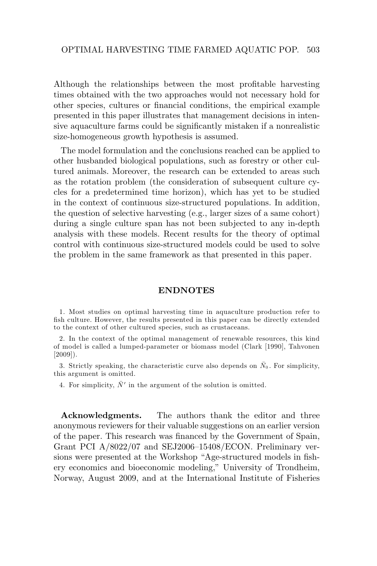Although the relationships between the most profitable harvesting times obtained with the two approaches would not necessary hold for other species, cultures or financial conditions, the empirical example presented in this paper illustrates that management decisions in intensive aquaculture farms could be significantly mistaken if a nonrealistic size-homogeneous growth hypothesis is assumed.

The model formulation and the conclusions reached can be applied to other husbanded biological populations, such as forestry or other cultured animals. Moreover, the research can be extended to areas such as the rotation problem (the consideration of subsequent culture cycles for a predetermined time horizon), which has yet to be studied in the context of continuous size-structured populations. In addition, the question of selective harvesting (e.g., larger sizes of a same cohort) during a single culture span has not been subjected to any in-depth analysis with these models. Recent results for the theory of optimal control with continuous size-structured models could be used to solve the problem in the same framework as that presented in this paper.

### **ENDNOTES**

1. Most studies on optimal harvesting time in aquaculture production refer to fish culture. However, the results presented in this paper can be directly extended to the context of other cultured species, such as crustaceans.

2. In the context of the optimal management of renewable resources, this kind of model is called a lumped-parameter or biomass model (Clark [1990], Tahvonen [2009]).

3. Strictly speaking, the characteristic curve also depends on  $\bar{N}_0$ . For simplicity, this argument is omitted.

4. For simplicity,  $\bar{N}^{\prime}$  in the argument of the solution is omitted.

**Acknowledgments.** The authors thank the editor and three anonymous reviewers for their valuable suggestions on an earlier version of the paper. This research was financed by the Government of Spain, Grant PCI A/8022/07 and SEJ2006–15408/ECON. Preliminary versions were presented at the Workshop "Age-structured models in fishery economics and bioeconomic modeling," University of Trondheim, Norway, August 2009, and at the International Institute of Fisheries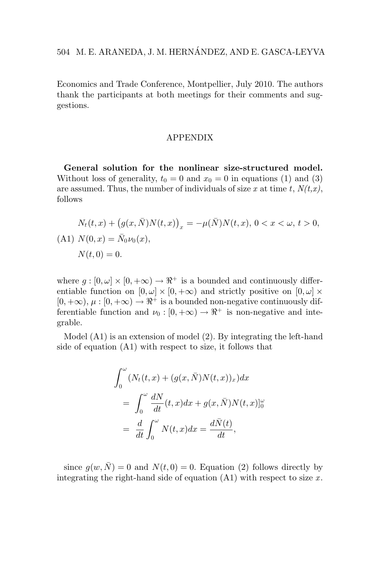Economics and Trade Conference, Montpellier, July 2010. The authors thank the participants at both meetings for their comments and suggestions.

### APPENDIX

**General solution for the nonlinear size-structured model.** Without loss of generality,  $t_0 = 0$  and  $x_0 = 0$  in equations (1) and (3) are assumed. Thus, the number of individuals of size *x* at time *t*, *N(t,x)*, follows

$$
N_t(t, x) + (g(x, \bar{N})N(t, x))_x = -\mu(\bar{N})N(t, x), 0 < x < \omega, t > 0,
$$
  
(A1)  $N(0, x) = \bar{N}_0 \nu_0(x),$   
 $N(t, 0) = 0.$ 

where  $g : [0, \omega] \times [0, +\infty) \rightarrow \mathbb{R}^+$  is a bounded and continuously differentiable function on  $[0, \omega] \times [0, +\infty)$  and strictly positive on  $[0, \omega] \times$  $[0, +\infty), \mu : [0, +\infty) \to \mathbb{R}^+$  is a bounded non-negative continuously differentiable function and  $\nu_0 : [0, +\infty) \to \mathbb{R}^+$  is non-negative and integrable.

Model (A1) is an extension of model (2). By integrating the left-hand side of equation (A1) with respect to size, it follows that

$$
\int_0^{\omega} (N_t(t, x) + (g(x, \bar{N})N(t, x))_x) dx
$$
  
= 
$$
\int_0^{\omega} \frac{dN}{dt} (t, x) dx + g(x, \bar{N})N(t, x)|_0^{\omega}
$$
  
= 
$$
\frac{d}{dt} \int_0^{\omega} N(t, x) dx = \frac{d\bar{N}(t)}{dt},
$$

since  $g(w, \overline{N}) = 0$  and  $N(t, 0) = 0$ . Equation (2) follows directly by integrating the right-hand side of equation  $(A1)$  with respect to size  $x$ .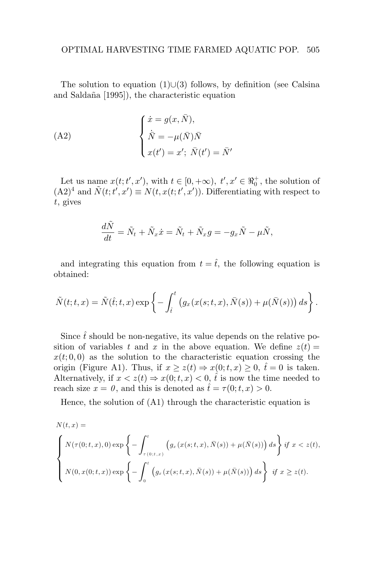The solution to equation  $(1) \cup (3)$  follows, by definition (see Calsina and Salda˜na [1995]), the characteristic equation

(A2)  

$$
\begin{cases}\n\dot{x} = g(x, \bar{N}), \\
\dot{\bar{N}} = -\mu(\bar{N})\bar{N} \\
x(t') = x'; \ \bar{N}(t') = \bar{N}'\n\end{cases}
$$

Let us name  $x(t; t', x')$ , with  $t \in [0, +\infty)$ ,  $t', x' \in \mathbb{R}_0^+$ , the solution of  $(A2)^4$  and  $\tilde{N}(t; t', x') \equiv N(t, x(t; t', x'))$ . Differentiating with respect to *t*, gives

$$
\frac{d\tilde{N}}{dt} = \tilde{N}_t + \tilde{N}_x \dot{x} = \tilde{N}_t + \tilde{N}_x g = -g_x \tilde{N} - \mu \tilde{N},
$$

and integrating this equation from  $t = \hat{t}$ , the following equation is obtained:

$$
\tilde{N}(t;t,x) = \tilde{N}(\hat{t};t,x) \exp \left\{-\int_{\hat{t}}^t \left(g_x(x(s;t,x),\bar{N}(s)) + \mu(\bar{N}(s))\right) ds\right\}.
$$

Since  $\hat{t}$  should be non-negative, its value depends on the relative position of variables *t* and *x* in the above equation. We define  $z(t) =$  $x(t; 0, 0)$  as the solution to the characteristic equation crossing the origin (Figure A1). Thus, if  $x \geq z(t) \Rightarrow x(0; t, x) \geq 0$ ,  $\hat{t} = 0$  is taken. Alternatively, if  $x < z(t) \Rightarrow x(0; t, x) < 0$ ,  $\hat{t}$  is now the time needed to reach size  $x = 0$ , and this is denoted as  $\hat{t} = \tau(0; t, x) > 0$ .

Hence, the solution of (A1) through the characteristic equation is

$$
N(t, x) =
$$
\n
$$
\begin{cases}\nN(\tau(0; t, x), 0) \exp \left\{-\int_{\tau(0; t, x)}^t \left(g_x(x(s; t, x), \bar{N}(s)) + \mu(\bar{N}(s))\right) ds\right\} \text{ if } x < z(t), \\
N(0, x(0; t, x)) \exp \left\{-\int_0^t \left(g_x(x(s; t, x), \bar{N}(s)) + \mu(\bar{N}(s))\right) ds\right\} \text{ if } x \ge z(t).\n\end{cases}
$$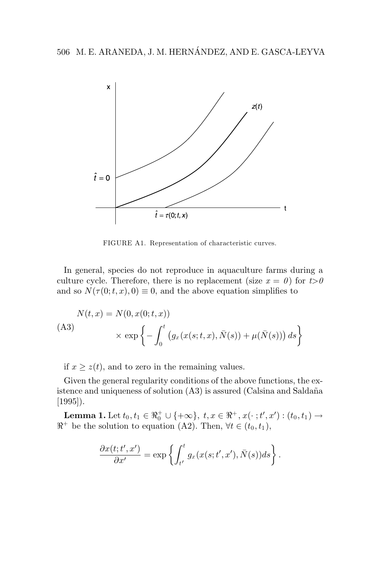

FIGURE A1. Representation of characteristic curves.

In general, species do not reproduce in aquaculture farms during a culture cycle. Therefore, there is no replacement (size  $x = 0$ ) for  $t > 0$ and so  $N(\tau(0; t, x), 0) \equiv 0$ , and the above equation simplifies to

$$
N(t, x) = N(0, x(0; t, x))
$$
  
(A3)
$$
\times \exp \left\{-\int_0^t \left(g_x(x(s; t, x), \bar{N}(s)) + \mu(\bar{N}(s))\right) ds\right\}
$$

if  $x \geq z(t)$ , and to zero in the remaining values.

Given the general regularity conditions of the above functions, the existence and uniqueness of solution  $(A3)$  is assured (Calsina and Saldaña [1995]).

**Lemma 1.** Let  $t_0, t_1 \in \Re_0^+ \cup \{+\infty\}, t, x \in \Re^+, x(\cdot \; ; t', x') : (t_0, t_1) \to$  $\Re^+$  be the solution to equation (A2). Then,  $\forall t \in (t_0, t_1)$ ,

$$
\frac{\partial x(t;t',x')}{\partial x'} = \exp\left\{ \int_{t'}^t g_x(x(s;t',x'),\bar{N}(s))ds \right\}.
$$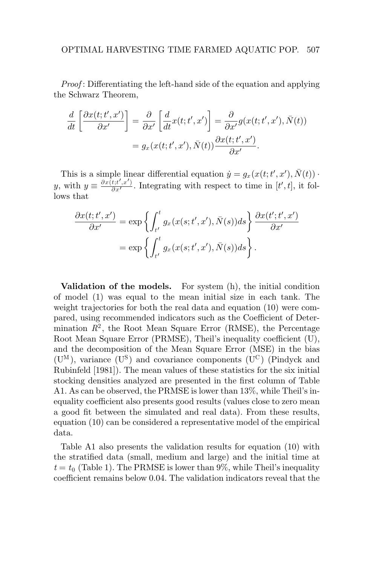*Proof* : Differentiating the left-hand side of the equation and applying the Schwarz Theorem,

$$
\frac{d}{dt} \left[ \frac{\partial x(t; t', x')}{\partial x'} \right] = \frac{\partial}{\partial x'} \left[ \frac{d}{dt} x(t; t', x') \right] = \frac{\partial}{\partial x'} g(x(t; t', x'), \bar{N}(t))
$$

$$
= g_x(x(t; t', x'), \bar{N}(t)) \frac{\partial x(t; t', x')}{\partial x'}.
$$

This is a simple linear differential equation  $\dot{y} = g_x(x(t; t', x'), \bar{N}(t))$ . y, with  $y \equiv \frac{\partial x(t;t',x')}{\partial x'}$ . Integrating with respect to time in  $[t',t]$ , it follows that

$$
\frac{\partial x(t;t',x')}{\partial x'} = \exp\left\{ \int_{t'}^{t} g_x(x(s;t',x'),\bar{N}(s))ds \right\} \frac{\partial x(t';t',x')}{\partial x'} \n= \exp\left\{ \int_{t'}^{t} g_x(x(s;t',x'),\bar{N}(s))ds \right\}.
$$

**Validation of the models.** For system (h), the initial condition of model (1) was equal to the mean initial size in each tank. The weight trajectories for both the real data and equation  $(10)$  were compared, using recommended indicators such as the Coefficient of Determination  $R^2$ , the Root Mean Square Error (RMSE), the Percentage Root Mean Square Error (PRMSE), Theil's inequality coefficient (U), and the decomposition of the Mean Square Error (MSE) in the bias  $(U^M)$ , variance  $(U^S)$  and covariance components  $(U^C)$  (Pindyck and Rubinfeld [1981]). The mean values of these statistics for the six initial stocking densities analyzed are presented in the first column of Table A1. As can be observed, the PRMSE is lower than 13%, while Theil's inequality coefficient also presents good results (values close to zero mean a good fit between the simulated and real data). From these results, equation (10) can be considered a representative model of the empirical data.

Table A1 also presents the validation results for equation (10) with the stratified data (small, medium and large) and the initial time at  $t = t_0$  (Table 1). The PRMSE is lower than 9%, while Theil's inequality coefficient remains below 0.04. The validation indicators reveal that the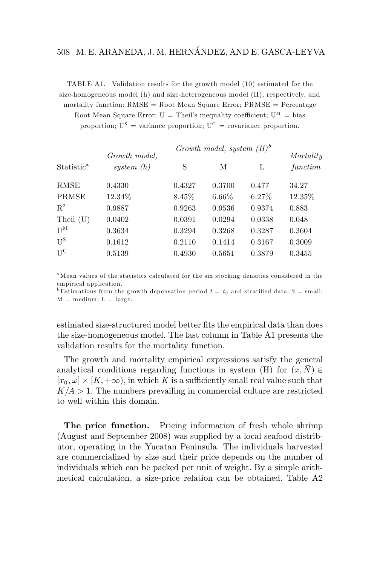## 508 M. E. ARANEDA, J. M. HERNANDEZ, AND E. GASCA-LEYVA ´

TABLE A1. Validation results for the growth model (10) estimated for the size-homogeneous model (h) and size-heterogeneous model (H), respectively, and

mortality function:  $RMSE = Root Mean Square Error$ ;  $PRMSE = Percentage$ Root Mean Square Error;  $U =$  Theil's inequality coefficient;  $U^M =$  bias proportion;  $U^S$  = variance proportion;  $U^C$  = covariance proportion.

|                           | Growth model. |          | Growth model, system $(H)^b$ |          | Mortality |
|---------------------------|---------------|----------|------------------------------|----------|-----------|
| Statistic <sup>a</sup>    | system $(h)$  | S        | М                            | L        | function  |
| RMSE                      | 0.4330        | 0.4327   | 0.3700                       | 0.477    | 34.27     |
| PRMSE                     | 12.34\%       | $8.45\%$ | $6.66\%$                     | $6.27\%$ | 12.35\%   |
| $R^2$                     | 0.9887        | 0.9263   | 0.9536                       | 0.9374   | 0.883     |
| Theil (U)                 | 0.0402        | 0.0391   | 0.0294                       | 0.0338   | 0.048     |
| $\mathbf{U}^{\mathrm{M}}$ | 0.3634        | 0.3294   | 0.3268                       | 0.3287   | 0.3604    |
| $U^{\rm S}$               | 0.1612        | 0.2110   | 0.1414                       | 0.3167   | 0.3009    |
| $U^C$                     | 0.5139        | 0.4930   | 0.5651                       | 0.3879   | 0.3455    |

<sup>a</sup> Mean values of the statistics calculated for the six stocking densities considered in the empirical application.

<sup>b</sup> Estimations from the growth depensation period  $t = t_0$  and stratified data: S = small;  $M = \text{medium}; L = \text{large}.$ 

estimated size-structured model better fits the empirical data than does the size-homogeneous model. The last column in Table A1 presents the validation results for the mortality function.

The growth and mortality empirical expressions satisfy the general analytical conditions regarding functions in system (H) for  $(x, N) \in$  $[x_0, \omega] \times [K, +\infty)$ , in which K is a sufficiently small real value such that  $K/A > 1$ . The numbers prevailing in commercial culture are restricted to well within this domain.

The price function. Pricing information of fresh whole shrimp (August and September 2008) was supplied by a local seafood distributor, operating in the Yucatan Peninsula. The individuals harvested are commercialized by size and their price depends on the number of individuals which can be packed per unit of weight. By a simple arithmetical calculation, a size-price relation can be obtained. Table A2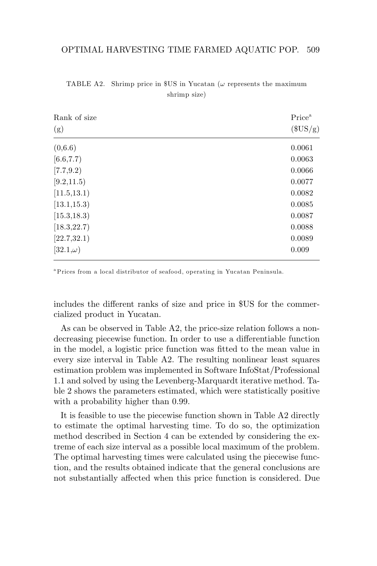| Rank of size    | Price <sup>a</sup> |
|-----------------|--------------------|
| (g)             | $(\$US/g)$         |
| (0,6.6)         | 0.0061             |
| [6.6, 7.7)      | 0.0063             |
| [7.7, 9.2]      | 0.0066             |
| [9.2, 11.5)     | 0.0077             |
| [11.5, 13.1]    | 0.0082             |
| [13.1, 15.3]    | 0.0085             |
| [15.3, 18.3]    | 0.0087             |
| [18.3, 22.7]    | 0.0088             |
| [22.7, 32.1]    | 0.0089             |
| $[32.1,\omega)$ | 0.009              |

TABLE A2. Shrimp price in \$US in Yucatan ( $\omega$  represents the maximum shrimp size)

<sup>a</sup> Prices from a local distributor of seafood, operating in Yucatan Peninsula.

includes the different ranks of size and price in \$US for the commercialized product in Yucatan.

As can be observed in Table A2, the price-size relation follows a nondecreasing piecewise function. In order to use a differentiable function in the model, a logistic price function was fitted to the mean value in every size interval in Table A2. The resulting nonlinear least squares estimation problem was implemented in Software InfoStat/Professional 1.1 and solved by using the Levenberg-Marquardt iterative method. Table 2 shows the parameters estimated, which were statistically positive with a probability higher than 0.99.

It is feasible to use the piecewise function shown in Table A2 directly to estimate the optimal harvesting time. To do so, the optimization method described in Section 4 can be extended by considering the extreme of each size interval as a possible local maximum of the problem. The optimal harvesting times were calculated using the piecewise function, and the results obtained indicate that the general conclusions are not substantially affected when this price function is considered. Due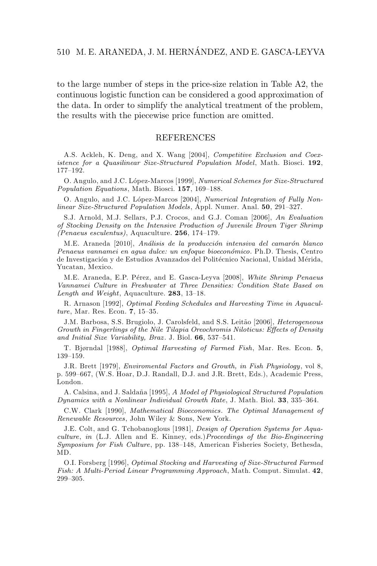to the large number of steps in the price-size relation in Table A2, the continuous logistic function can be considered a good approximation of the data. In order to simplify the analytical treatment of the problem, the results with the piecewise price function are omitted.

#### REFERENCES

A.S. Ackleh, K. Deng, and X. Wang [2004], Competitive Exclusion and Coexistence for a Quasilinear Size-Structured Population Model, Math. Biosci. **192**, 177–192.

O. Angulo, and J.C. López-Marcos [1999], Numerical Schemes for Size-Structured Population Equations, Math. Biosci. **157**, 169–188.

O. Angulo, and J.C. López-Marcos [2004], Numerical Integration of Fully Nonlinear Size-Structured Population Models, Appl. Numer. Anal. **50**, 291–327.

S.J. Arnold, M.J. Sellars, P.J. Crocos, and G.J. Coman [2006], An Evaluation of Stocking Density on the Intensive Production of Juvenile Brown Tiger Shrimp (Penaeus esculentus), Aquaculture. **256**, 174–179.

M.E. Araneda [2010], Análisis de la producción intensiva del camarón blanco Penaeus vannamei en agua dulce: un enfoque bioeconómico. Ph.D. Thesis, Centro de Investigación y de Estudios Avanzados del Politécnico Nacional, Unidad Mérida, Yucatan, Mexico.

M.E. Araneda, E.P. Pérez, and E. Gasca-Leyva [2008], White Shrimp Penaeus Vannamei Culture in Freshwater at Three Densities: Condition State Based on Length and Weight, Aquaculture. **283**, 13–18.

R. Arnason [1992], Optimal Feeding Schedules and Harvesting Time in Aquaculture, Mar. Res. Econ. **7**, 15–35.

J.M. Barbosa, S.S. Brugiolo, J. Carolsfeld, and S.S. Leitão [2006], *Heterogeneous* Growth in Fingerlings of the Nile Tilapia Oreochromis Niloticus: Effects of Density and Initial Size Variability, Braz . J. Biol. **66**, 537–541.

T. Bjørndal [1988], Optimal Harvesting of Farmed Fish, Mar. Res. Econ. **5**, 139–159.

J.R. Brett [1979], Enviromental Factors and Growth, in Fish Physiology, vol 8, p. 599–667, (W.S. Hoar, D.J. Randall, D.J. and J.R. Brett, Eds.), Academic Press, London.

A. Calsina, and J. Saldaña [1995], A Model of Physiological Structured Population Dynamics with a Nonlinear Individual Growth Rate, J. Math. Biol. **33**, 335–364.

C.W. Clark [1990], Mathematical Bioeconomics. The Optimal Management of Renewable Resources, John Wiley & Sons, New York.

J.E. Colt, and G. Tchobanoglous [1981], Design of Operation Systems for Aquaculture, in (L.J. Allen and E. Kinney, eds.)Proceedings of the Bio-Engineering Symposium for Fish Culture, pp. 138–148, American Fisheries Society, Bethesda, MD.

O.I. Forsberg [1996], Optimal Stocking and Harvesting of Size-Structured Farmed Fish: A Multi-Period Linear Programming Approach, Math. Comput. Simulat. **42**, 299–305.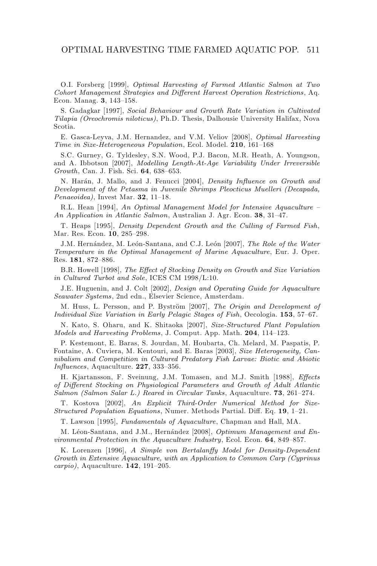O.I. Forsberg [1999], Optimal Harvesting of Farmed Atlantic Salmon at Two Cohort Management Strategies and Different Harvest Operation Restrictions, Aq. Econ. Manag. **3**, 143–158.

S. Gadagkar [1997], Social Behaviour and Growth Rate Variation in Cultivated Tilapia (Oreochromis niloticus), Ph.D. Thesis, Dalhousie University Halifax, Nova Scotia.

E. Gasca-Leyva, J.M. Hernandez, and V.M. Veliov [2008], Optimal Harvesting Time in Size-Heterogeneous Population, Ecol. Model. **210**, 161–168

S.C. Gurney, G. Tyldesley, S.N. Wood, P.J. Bacon, M.R. Heath, A. Youngson, and A. Ibbotson [2007], Modelling Length-At-Age Variability Under Irreversible Growth, Can. J. Fish. Sci. **64**, 638–653.

N. Harán, J. Mallo, and J. Fenucci [2004], Density Influence on Growth and Development of the Petasma in Juvenile Shrimps Pleocticus Muelleri (Decapada, Penaeoidea), Invest Mar. **32**, 11–18.

R.L. Hean [1994], An Optimal Management Model for Intensive Aquaculture – An Application in Atlantic Salmon, Australian J. Agr. Econ. **38**, 31–47.

T. Heaps [1995], Density Dependent Growth and the Culling of Farmed Fish, Mar. Res. Econ. **10**, 285–298.

J.M. Hernández, M. León-Santana, and C.J. León [2007], The Role of the Water Temperature in the Optimal Management of Marine Aquaculture, Eur. J. Oper. Res. **181**, 872–886.

B.R. Howell [1998], The Effect of Stocking Density on Growth and Size Variation in Cultured Turbot and Sole, ICES CM 1998/L:10.

J.E. Huguenin, and J. Colt [2002], Design and Operating Guide for Aquaculture Seawater Systems, 2nd edn., Elsevier Science, Amsterdam.

M. Huss, L. Persson, and P. Byström [2007], The Origin and Development of Individual Size Variation in Early Pelagic Stages of Fish, Oecologia. **153**, 57–67.

N. Kato, S. Oharu, and K. Shitaoka [2007], Size-Structured Plant Population Models and Harvesting Problems, J. Comput. App. Math. **204**, 114–123.

P. Kestemont, E. Baras, S. Jourdan, M. Houbarta, Ch. Melard, M. Paspatis, P. Fontaine, A. Cuviera, M. Kentouri, and E. Baras [2003], Size Heterogeneity, Cannibalism and Competition in Cultured Predatory Fish Larvae: Biotic and Abiotic Influences, Aquaculture. **227**, 333–356.

H. Kjartansson, F. Sveinung, J.M. Tomasen, and M.J. Smith [1988], Effects of Different Stocking on Physiological Parameters and Growth of Adult Atlantic Salmon (Salmon Salar L.) Reared in Circular Tanks, Aquaculture. **73**, 261–274.

T. Kostova [2002], An Explicit Third-Order Numerical Method for Size-Structured Population Equations, Numer. Methods Partial. Diff. Eq. **19**, 1–21.

T. Lawson [1995], Fundamentals of Aquaculture, Chapman and Hall, MA.

M. Léon-Santana, and J.M., Hernández [2008], Optimum Management and Environmental Protection in the Aquaculture Industry, Ecol. Econ. **64**, 849–857.

K. Lorenzen [1996], A Simple von Bertalanffy Model for Density-Dependent Growth in Extensive Aquaculture, with an Application to Common Carp (Cyprinus carpio), Aquaculture. **142**, 191–205.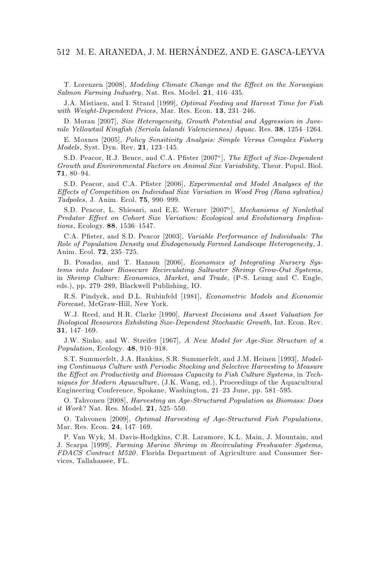# 512 M. E. ARANEDA, J. M. HERNANDEZ, AND E. GASCA-LEYVA ´

T. Lorenzen [2008], Modeling Climate Change and the Effect on the Norwegian Salmon Farming Industry, Nat. Res. Model. **21**, 416–435.

J.A. Mistiaen, and I. Strand [1999], Optimal Feeding and Harvest Time for Fish with Weight-Dependent Prices, Mar. Res. Econ. **13**, 231–246.

D. Moran [2007], Size Heterogeneity, Growth Potential and Aggression in Juvenile Yellowtail Kingfish (Seriola lalandi Valenciennes) Aquac. Res. **38**, 1254–1264.

E. Moxnes [2005], Policy Sensitivity Analysis: Simple Versus Complex Fishery Models, Syst. Dyn. Rev. **21**, 123–145.

S.D. Peacor, R.J. Bence, and C.A. Pfister [2007<sup>a</sup>], The Effect of Size-Dependent Growth and Environmental Factors on Animal Size Variability, Theor. Popul. Biol. **71**, 80–94.

S.D. Peacor, and C.A. Pfister [2006], Experimental and Model Analyses of the Effects of Competition on Individual Size Variation in Wood Frog (Rana sylvatica) Tadpoles, J. Anim. Ecol. **75**, 990–999.

S.D. Peacor, L. Shiesari, and E.E. Werner [2007b], Mechanisms of Nonlethal Predator Effect on Cohort Size Variation: Ecological and Evolutionary Implications, Ecology. **88**, 1536–1547.

C.A. Pfister, and S.D. Peacor [2003], Variable Performance of Individuals: The Role of Population Density and Endogenously Formed Landscape Heterogeneity, J. Anim. Ecol. **72**, 235–725.

B. Posadas, and T. Hanson [2006], Economics of Integrating Nursery Systems into Indoor Biosecure Recirculating Saltwater Shrimp Grow-Out Systems, in Shrimp Culture: Economics, Market, and Trade, (P-S. Leung and C. Engle, eds.), pp. 279–289, Blackwell Publishing, IO.

R.S. Pindyck, and D.L. Rubinfeld [1981], Econometric Models and Economic Forecast, McGraw-Hill, New York.

W.J. Reed, and H.R. Clarke [1990], *Harvest Decisions and Asset Valuation for* Biological Resources Exhibiting Size-Dependent Stochastic Growth, Int. Econ. Rev. **31**, 147–169.

J.W. Sinko, and W. Streifer [1967], A New Model for Age-Size Structure of a Population, Ecology. **48**, 910–918.

S.T. Summerfelt, J.A. Hankins, S.R. Summerfelt, and J.M. Heinen [1993], Modeling Continuous Culture with Periodic Stocking and Selective Harvesting to Measure the Effect on Productivity and Biomass Capacity to Fish Culture Systems, in Techniques for Modern Aquaculture, (J.K. Wang, ed.), Proceedings of the Aquacultural Engineering Conference, Spokane, Washington, 21–23 June, pp. 581–595.

O. Tahvonen [2008], Harvesting an Age-Structured Population as Biomass: Does it Work? Nat. Res. Model. **21**, 525–550.

O. Tahvonen [2009], Optimal Harvesting of Age-Structured Fish Populations, Mar. Res. Econ. **24**, 147–169.

P. Van Wyk, M. Davis-Hodgkins, C.R. Laramore, K.L. Main, J. Mountain, and J. Scarpa [1999], Farming Marine Shrimp in Recirculating Freshwater Systems, FDACS Contract M520. Florida Department of Agriculture and Consumer Services, Tallahassee, FL.